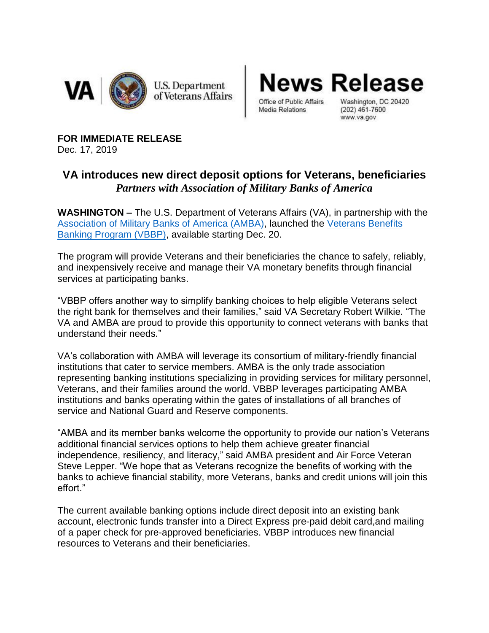

**News Release** 

Office of Public Affairs Media Relations

Washington, DC 20420  $(202)$  461-7600 www.va.gov

**FOR IMMEDIATE RELEASE** Dec. 17, 2019

## **VA introduces new direct deposit options for Veterans, beneficiaries** *Partners with Association of Military Banks of America*

**WASHINGTON –** The U.S. Department of Veterans Affairs (VA), in partnership with the [Association of Military Banks of America \(AMBA\),](https://www.ambahq.org/) launched the [Veterans Benefits](https://www.veteransbenefitsbanking.org/)  [Banking Program \(VBBP\),](https://www.veteransbenefitsbanking.org/) available starting Dec. 20.

The program will provide Veterans and their beneficiaries the chance to safely, reliably, and inexpensively receive and manage their VA monetary benefits through financial services at participating banks.

"VBBP offers another way to simplify banking choices to help eligible Veterans select the right bank for themselves and their families," said VA Secretary Robert Wilkie. "The VA and AMBA are proud to provide this opportunity to connect veterans with banks that understand their needs."

VA's collaboration with AMBA will leverage its consortium of military-friendly financial institutions that cater to service members. AMBA is the only trade association representing banking institutions specializing in providing services for military personnel, Veterans, and their families around the world. VBBP leverages participating AMBA institutions and banks operating within the gates of installations of all branches of service and National Guard and Reserve components.

"AMBA and its member banks welcome the opportunity to provide our nation's Veterans additional financial services options to help them achieve greater financial independence, resiliency, and literacy," said AMBA president and Air Force Veteran Steve Lepper. "We hope that as Veterans recognize the benefits of working with the banks to achieve financial stability, more Veterans, banks and credit unions will join this effort."

The current available banking options include direct deposit into an existing bank account, electronic funds transfer into a Direct Express pre-paid debit card,and mailing of a paper check for pre-approved beneficiaries. VBBP introduces new financial resources to Veterans and their beneficiaries.